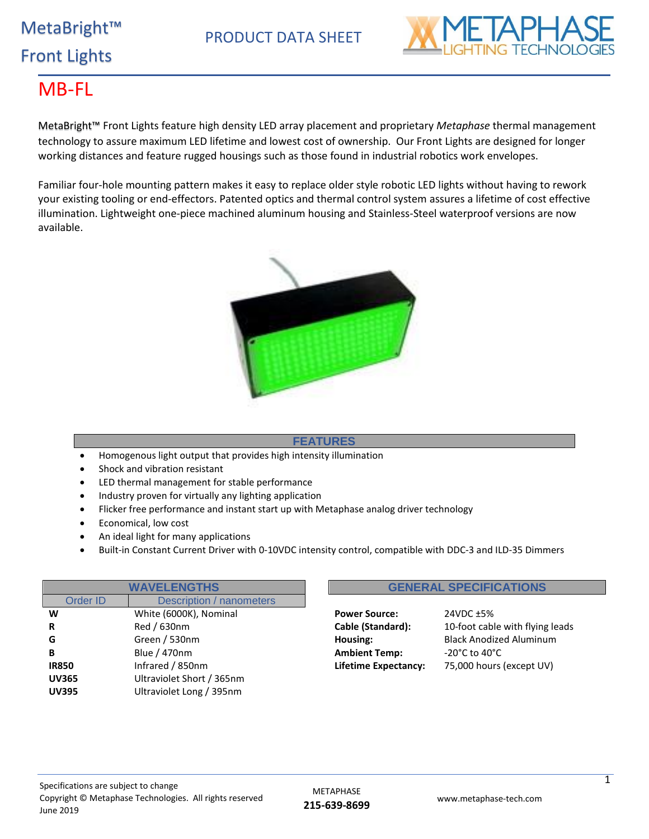# MetaBright™ Front Lights

PRODUCT DATA SHEET



### MB-FL

MetaBright™ Front Lights feature high density LED array placement and proprietary *Metaphase* thermal management technology to assure maximum LED lifetime and lowest cost of ownership. Our Front Lights are designed for longer working distances and feature rugged housings such as those found in industrial robotics work envelopes.

Familiar four-hole mounting pattern makes it easy to replace older style robotic LED lights without having to rework your existing tooling or end-effectors. Patented optics and thermal control system assures a lifetime of cost effective illumination. Lightweight one-piece machined aluminum housing and Stainless-Steel waterproof versions are now available.



#### **FEATURES**

- Homogenous light output that provides high intensity illumination
- Shock and vibration resistant
- LED thermal management for stable performance
- Industry proven for virtually any lighting application
- Flicker free performance and instant start up with Metaphase analog driver technology
- Economical, low cost
- An ideal light for many applications
- Built-in Constant Current Driver with 0-10VDC intensity control, compatible with DDC-3 and ILD-35 Dimmers

| <b>WAVELENGTHS</b>                   |                           |  |  |  |  |  |  |  |  |
|--------------------------------------|---------------------------|--|--|--|--|--|--|--|--|
| Description / nanometers<br>Order ID |                           |  |  |  |  |  |  |  |  |
| W                                    | White (6000K), Nominal    |  |  |  |  |  |  |  |  |
| R                                    | Red / 630nm               |  |  |  |  |  |  |  |  |
| G                                    | Green / 530nm             |  |  |  |  |  |  |  |  |
| в                                    | Blue / 470nm              |  |  |  |  |  |  |  |  |
| <b>IR850</b>                         | Infrared / 850nm          |  |  |  |  |  |  |  |  |
| <b>UV365</b>                         | Ultraviolet Short / 365nm |  |  |  |  |  |  |  |  |
| <b>UV395</b>                         | Ultraviolet Long / 395nm  |  |  |  |  |  |  |  |  |
|                                      |                           |  |  |  |  |  |  |  |  |

## **WAVELET SERVICE CONTRACT SPECIFICATIONS**

**Power Source:** 24VDC ±5% **Ambient Temp:**  $-20^{\circ}$ C to 40°C

**Cable (Standard):** 10-foot cable with flying leads Housing: Black Anodized Aluminum **Lifetime Expectancy:** 75,000 hours (except UV)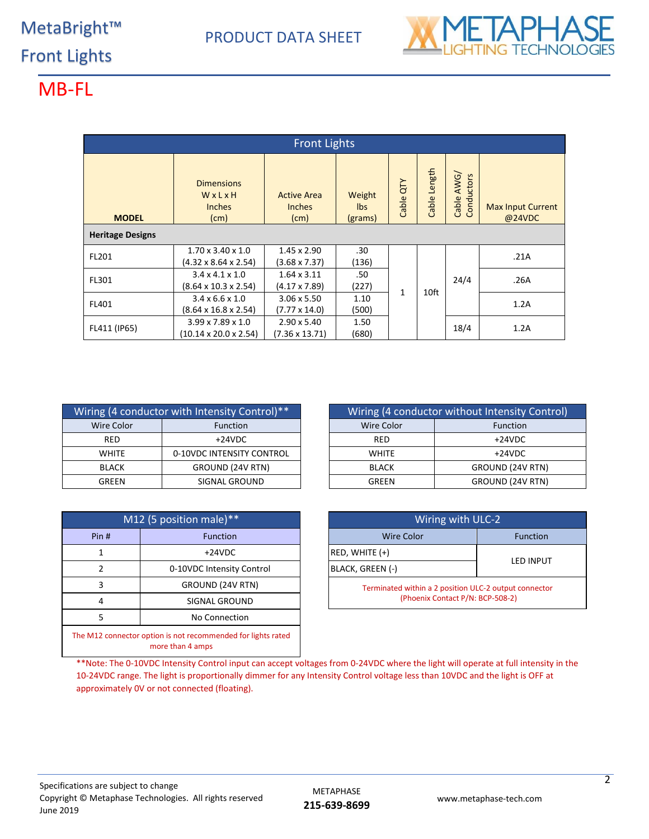

## MB-FL

| <b>Front Lights</b>     |                                                                                                               |                                             |                           |           |              |                            |                                    |  |  |  |  |
|-------------------------|---------------------------------------------------------------------------------------------------------------|---------------------------------------------|---------------------------|-----------|--------------|----------------------------|------------------------------------|--|--|--|--|
| <b>MODEL</b>            | <b>Dimensions</b><br>WxLxH<br><b>Inches</b><br>(cm)                                                           | <b>Active Area</b><br><b>Inches</b><br>(cm) | Weight<br>lbs.<br>(grams) | Cable QTY | Cable Length | AWG/<br>onductors<br>Cable | <b>Max Input Current</b><br>@24VDC |  |  |  |  |
| <b>Heritage Designs</b> |                                                                                                               |                                             |                           |           |              |                            |                                    |  |  |  |  |
| FL201                   | $1.70 \times 3.40 \times 1.0$<br>$(4.32 \times 8.64 \times 2.54)$                                             | $1.45 \times 2.90$<br>$(3.68 \times 7.37)$  | .30<br>(136)              |           |              |                            | .21A                               |  |  |  |  |
| FL301                   | $3.4 \times 4.1 \times 1.0$<br>$1.64 \times 3.11$<br>$(8.64 \times 10.3 \times 2.54)$<br>$(4.17 \times 7.89)$ |                                             | .50<br>(227)              |           |              | 24/4                       | .26A                               |  |  |  |  |
| FL401                   | $3.4 \times 6.6 \times 1.0$<br>$(8.64 \times 16.8 \times 2.54)$                                               | $3.06 \times 5.50$<br>$(7.77 \times 14.0)$  | 1.10<br>(500)             | 1         | 10ft         |                            | 1.2A                               |  |  |  |  |
| FL411 (IP65)            | $3.99 \times 7.89 \times 1.0$<br>$(10.14 \times 20.0 \times 2.54)$                                            | $2.90 \times 5.40$<br>$(7.36 \times 13.71)$ | 1.50<br>(680)             |           |              | 18/4                       | 1.2A                               |  |  |  |  |

|                        | Wiring (4 conductor with Intensity Control)** |              | Wiring (4 conductor without Intensity |  |  |
|------------------------|-----------------------------------------------|--------------|---------------------------------------|--|--|
| Wire Color             | <b>Function</b>                               | Wire Color   | Function                              |  |  |
| <b>RED</b>             | $+24VDC$                                      | <b>RED</b>   | $+24VDC$                              |  |  |
| <b>WHITE</b>           | 0-10VDC INTENSITY CONTROL                     | <b>WHITE</b> | $+24VDC$                              |  |  |
| <b>BLACK</b>           | GROUND (24V RTN)                              | <b>BLACK</b> | GROUND (24V                           |  |  |
| SIGNAL GROUND<br>GREEN |                                               | GREEN        | GROUND (24V                           |  |  |

|                    | $M12$ (5 position male)**                                                        | Wiring with ULC-2                           |   |  |  |  |
|--------------------|----------------------------------------------------------------------------------|---------------------------------------------|---|--|--|--|
| Pin#               | <b>Function</b>                                                                  | <b>Wire Color</b>                           |   |  |  |  |
|                    | $+24VDC$                                                                         | $RED, WHITE (+)$                            |   |  |  |  |
| 2                  | 0-10VDC Intensity Control                                                        | BLACK, GREEN (-)                            | Ц |  |  |  |
| 3                  | GROUND (24V RTN)                                                                 | Terminated within a 2 position ULC-2 output |   |  |  |  |
| 4                  | SIGNAL GROUND                                                                    | (Phoenix Contact P/N: BCP-508-2)            |   |  |  |  |
| 5<br>No Connection |                                                                                  |                                             |   |  |  |  |
|                    | The M12 connector option is not recommended for lights rated<br>more than 4 amps |                                             |   |  |  |  |

| Wiring (4 conductor with Intensity Control)** |                           |  |                   | Wiring (4 conductor without Intensity Control) |
|-----------------------------------------------|---------------------------|--|-------------------|------------------------------------------------|
| <b>Wire Color</b>                             | <b>Function</b>           |  | <b>Wire Color</b> | <b>Function</b>                                |
| <b>RED</b>                                    | $+24VDC$                  |  | <b>RED</b>        | $+24VDC$                                       |
| <b>WHITE</b>                                  | 0-10VDC INTENSITY CONTROL |  | <b>WHITE</b>      | $+24VDC$                                       |
| <b>BLACK</b>                                  | GROUND (24V RTN)          |  | <b>BLACK</b>      | GROUND (24V RTN)                               |
| SIGNAL GROUND<br>GREEN                        |                           |  | GREEN             | GROUND (24V RTN)                               |

| M12 (5 position male)** |                           |  | Wiring with ULC-2                                     |                  |  |  |  |
|-------------------------|---------------------------|--|-------------------------------------------------------|------------------|--|--|--|
| Pin#                    | <b>Function</b>           |  | <b>Wire Color</b>                                     | <b>Function</b>  |  |  |  |
|                         | +24VDC                    |  | $ RED, WHITE (+)$                                     | <b>LED INPUT</b> |  |  |  |
|                         | 0-10VDC Intensity Control |  | BLACK, GREEN (-)                                      |                  |  |  |  |
|                         | GROUND (24V RTN)          |  | Terminated within a 2 position ULC-2 output connector |                  |  |  |  |
| 4                       | SIGNAL GROUND             |  | (Phoenix Contact P/N: BCP-508-2)                      |                  |  |  |  |

\*\*Note: The 0-10VDC Intensity Control input can accept voltages from 0-24VDC where the light will operate at full intensity in the 10-24VDC range. The light is proportionally dimmer for any Intensity Control voltage less than 10VDC and the light is OFF at approximately 0V or not connected (floating).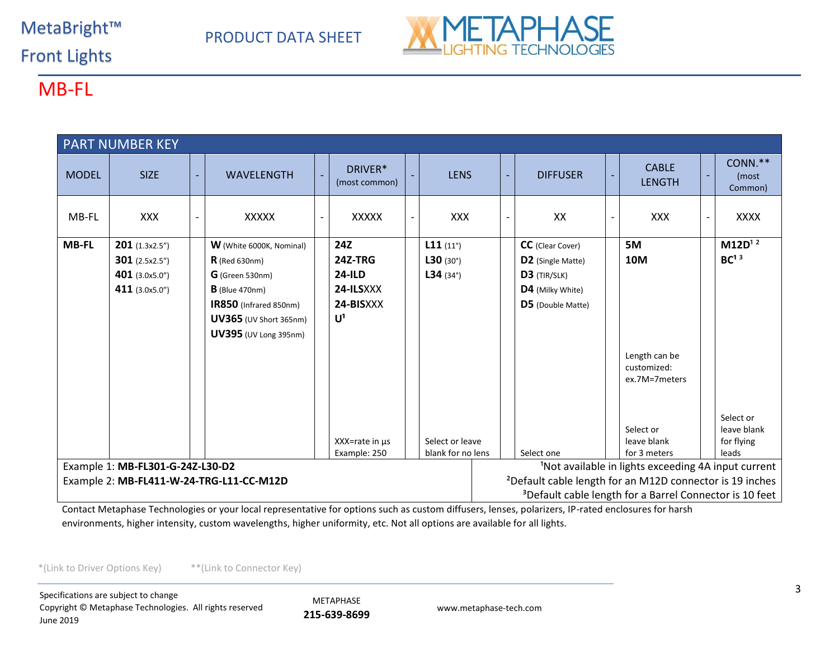#### MetaBright™

## PRODUCT DATA SHEET



Front Lights

### MB-FL

| <b>PART NUMBER KEY</b>                                                                              |                                                                                                                  |                |                                 |  |                          |  |                   |  |   |                         |                                               |                             |
|-----------------------------------------------------------------------------------------------------|------------------------------------------------------------------------------------------------------------------|----------------|---------------------------------|--|--------------------------|--|-------------------|--|---|-------------------------|-----------------------------------------------|-----------------------------|
| <b>MODEL</b>                                                                                        | <b>SIZE</b>                                                                                                      | $\blacksquare$ | <b>WAVELENGTH</b>               |  | DRIVER*<br>(most common) |  | <b>LENS</b>       |  | ٠ | <b>DIFFUSER</b>         | <b>CABLE</b><br><b>LENGTH</b>                 | CONN.**<br>(most<br>Common) |
| MB-FL                                                                                               | <b>XXX</b>                                                                                                       |                | <b>XXXXX</b>                    |  | <b>XXXXX</b>             |  | <b>XXX</b>        |  |   | XX                      | <b>XXX</b>                                    | <b>XXXX</b>                 |
| <b>MB-FL</b>                                                                                        | <b>201</b> $(1.3x2.5'')$                                                                                         |                | <b>W</b> (White 6000K, Nominal) |  | 24Z                      |  | L11(11)           |  |   | <b>CC</b> (Clear Cover) | 5M                                            | $M12D^{12}$                 |
|                                                                                                     | $301$ (2.5x2.5")                                                                                                 |                | $R$ (Red 630nm)                 |  | 24Z-TRG                  |  | L30(30°)          |  |   | D2 (Single Matte)       | 10M                                           | BC <sup>13</sup>            |
|                                                                                                     | 401 (3.0x5.0")                                                                                                   |                | $G$ (Green 530nm)               |  | $24$ -ILD                |  | $L34(34^\circ)$   |  |   | D3 (TIR/SLK)            |                                               |                             |
|                                                                                                     | 411 (3.0x5.0")                                                                                                   |                | $B$ (Blue 470nm)                |  | 24-ILSXXX                |  |                   |  |   | D4 (Milky White)        |                                               |                             |
|                                                                                                     |                                                                                                                  |                | IR850 (Infrared 850nm)          |  | 24-BISXXX                |  |                   |  |   | D5 (Double Matte)       |                                               |                             |
|                                                                                                     |                                                                                                                  |                | UV365 (UV Short 365nm)          |  | $U^1$                    |  |                   |  |   |                         |                                               |                             |
|                                                                                                     |                                                                                                                  |                | <b>UV395</b> (UV Long 395nm)    |  |                          |  |                   |  |   |                         |                                               |                             |
|                                                                                                     |                                                                                                                  |                |                                 |  |                          |  |                   |  |   |                         | Length can be<br>customized:<br>ex.7M=7meters |                             |
|                                                                                                     |                                                                                                                  |                |                                 |  |                          |  |                   |  |   |                         |                                               | Select or                   |
|                                                                                                     |                                                                                                                  |                |                                 |  |                          |  |                   |  |   |                         | Select or                                     | leave blank                 |
|                                                                                                     |                                                                                                                  |                |                                 |  | $XX = rate in \mu s$     |  | Select or leave   |  |   |                         | leave blank                                   | for flying                  |
|                                                                                                     |                                                                                                                  |                |                                 |  | Example: 250             |  | blank for no lens |  |   | Select one              | for 3 meters                                  | leads                       |
| <sup>1</sup> Not available in lights exceeding 4A input current<br>Example 1: MB-FL301-G-24Z-L30-D2 |                                                                                                                  |                |                                 |  |                          |  |                   |  |   |                         |                                               |                             |
|                                                                                                     | <sup>2</sup> Default cable length for an M12D connector is 19 inches<br>Example 2: MB-FL411-W-24-TRG-L11-CC-M12D |                |                                 |  |                          |  |                   |  |   |                         |                                               |                             |
|                                                                                                     | <sup>3</sup> Default cable length for a Barrel Connector is 10 feet                                              |                |                                 |  |                          |  |                   |  |   |                         |                                               |                             |

Contact Metaphase Technologies or your local representative for options such as custom diffusers, lenses, polarizers, IP-rated enclosures for harsh environments, higher intensity, custom wavelengths, higher uniformity, etc. Not all options are available for all lights.

\*(Link to Driver Options Key) \*\*(Link to Connector Key)